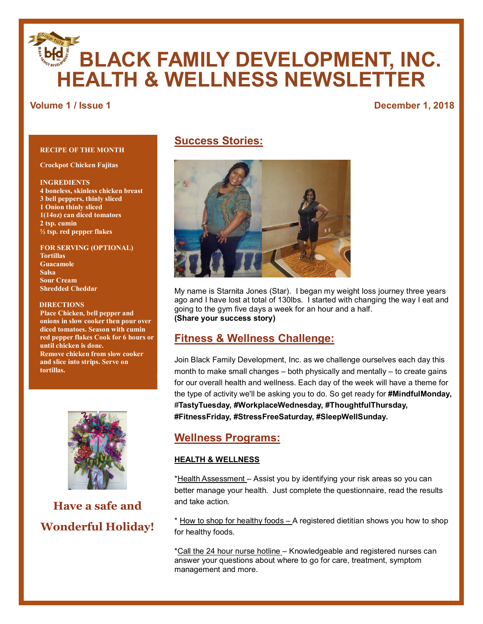# **BLACK FAMILY DEVELOPMENT, INC. HEALTH & WELLNESS NEWSLETTER**

# **Volume 1 / Issue 1** December 1, 2018

#### **RECIPE OF THE MONTH**

**Crockpot Chicken Fajitas**

**INGREDIENTS 4 boneless, skinless chicken breast 3 bell peppers, thinly sliced 1 Onion thinly sliced 1(14oz) can diced tomatoes 2 tsp. cumin ½ tsp. red pepper flakes**

**FOR SERVING (OPTIONAL) Tortillas Guacamole Salsa Sour Cream Shredded Cheddar**

#### **DIRECTIONS**

**Place Chicken, bell pepper and onions in slow cooker then pour over diced tomatoes. Season with cumin red pepper flakes Cook for 6 hours or until chicken is done. Remove chicken from slow cooker and slice into strips. Serve on tortillas.**



**Have a safe and Wonderful Holiday!**

# **Success Stories:**



My name is Starnita Jones (Star). I began my weight loss journey three years ago and I have lost at total of 130lbs. I started with changing the way I eat and going to the gym five days a week for an hour and a half. **(Share your success story)**

# **Fitness & Wellness Challenge:**

Join Black Family Development, Inc. as we challenge ourselves each day this month to make small changes – both physically and mentally – to create gains for our overall health and wellness. Each day of the week will have a theme for the type of activity we'll be asking you to do. So get ready for **#MindfulMonday,** #**TastyTuesday, #WorkplaceWednesday, #ThoughtfulThursday, #FitnessFriday, #StressFreeSaturday, #SleepWellSunday.**

# **Wellness Programs:**

#### **HEALTH & WELLNESS**

\*Health Assessment – Assist you by identifying your risk areas so you can better manage your health. Just complete the questionnaire, read the results and take action.

\* How to shop for healthy foods – A registered dietitian shows you how to shop for healthy foods.

\*Call the 24 hour nurse hotline – Knowledgeable and registered nurses can answer your questions about where to go for care, treatment, symptom management and more.